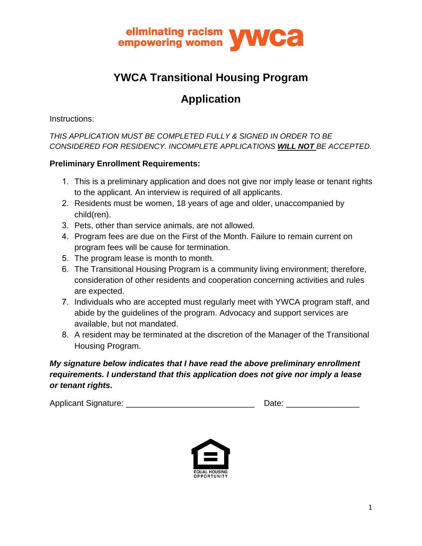

# **YWCA Transitional Housing Program**

# **Application**

Instructions:

*THIS APPLICATION MUST BE COMPLETED FULLY & SIGNED IN ORDER TO BE CONSIDERED FOR RESIDENCY. INCOMPLETE APPLICATIONS WILL NOT BE ACCEPTED.* 

#### **Preliminary Enrollment Requirements:**

- 1. This is a preliminary application and does not give nor imply lease or tenant rights to the applicant. An interview is required of all applicants.
- 2. Residents must be women, 18 years of age and older, unaccompanied by child(ren).
- 3. Pets, other than service animals, are not allowed.
- 4. Program fees are due on the First of the Month. Failure to remain current on program fees will be cause for termination.
- 5. The program lease is month to month.
- 6. The Transitional Housing Program is a community living environment; therefore, consideration of other residents and cooperation concerning activities and rules are expected.
- 7. Individuals who are accepted must regularly meet with YWCA program staff, and abide by the guidelines of the program. Advocacy and support services are available, but not mandated.
- 8. A resident may be terminated at the discretion of the Manager of the Transitional Housing Program.

#### *My signature below indicates that I have read the above preliminary enrollment requirements. I understand that this application does not give nor imply a lease or tenant rights.*

Applicant Signature: \_\_\_\_\_\_\_\_\_\_\_\_\_\_\_\_\_\_\_\_\_\_\_\_\_\_\_\_ Date: \_\_\_\_\_\_\_\_\_\_\_\_\_\_\_\_

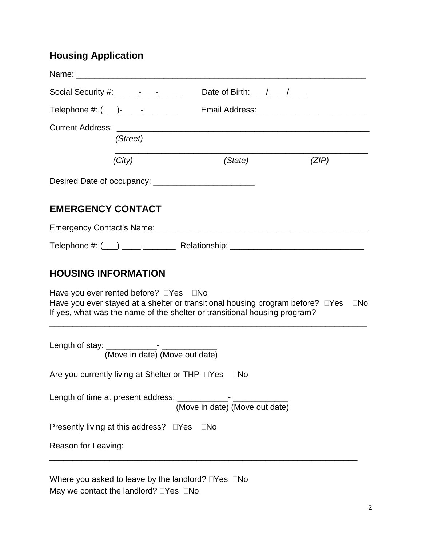## **Housing Application**

| Social Security #: _____-_-__-____                                                                                                                                                | Date of Birth: $\frac{1}{\sqrt{1-\frac{1}{2}}}$ |       |
|-----------------------------------------------------------------------------------------------------------------------------------------------------------------------------------|-------------------------------------------------|-------|
| Telephone #: (___)-_____-______                                                                                                                                                   |                                                 |       |
|                                                                                                                                                                                   |                                                 |       |
| (Street)                                                                                                                                                                          |                                                 |       |
| (City)                                                                                                                                                                            | (State)                                         | (ZIP) |
|                                                                                                                                                                                   |                                                 |       |
|                                                                                                                                                                                   |                                                 |       |
| <b>EMERGENCY CONTACT</b>                                                                                                                                                          |                                                 |       |
| Emergency Contact's Name: Campus Contact of State Contact of Tennes Contact of State Contact of Tennes Contact                                                                    |                                                 |       |
|                                                                                                                                                                                   |                                                 |       |
|                                                                                                                                                                                   |                                                 |       |
| <b>HOUSING INFORMATION</b>                                                                                                                                                        |                                                 |       |
| Have you ever rented before? $\square$ Yes $\square$ No                                                                                                                           |                                                 |       |
| Have you ever stayed at a shelter or transitional housing program before? $\square$ Yes $\square$ No<br>If yes, what was the name of the shelter or transitional housing program? |                                                 |       |
|                                                                                                                                                                                   |                                                 |       |
|                                                                                                                                                                                   |                                                 |       |
| (Move in date) (Move out date)                                                                                                                                                    |                                                 |       |
| Are you currently living at Shelter or THP □Yes □No                                                                                                                               |                                                 |       |
|                                                                                                                                                                                   |                                                 |       |
|                                                                                                                                                                                   |                                                 |       |
| Presently living at this address? □Yes □No                                                                                                                                        |                                                 |       |
| Reason for Leaving:                                                                                                                                                               |                                                 |       |
|                                                                                                                                                                                   |                                                 |       |

Where you asked to leave by the landlord?  $\square$ Yes  $\square$ No May we contact the landlord?  $\Box$ Yes  $\Box$ No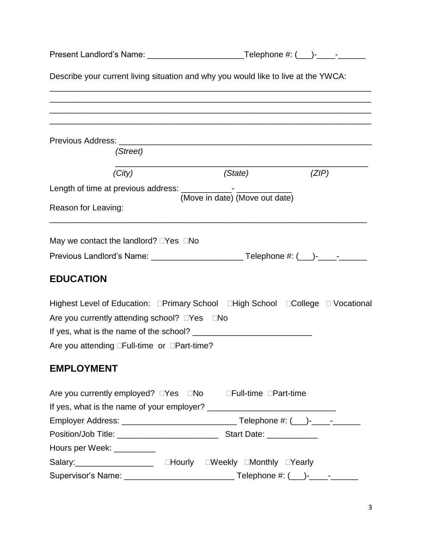| Describe your current living situation and why you would like to live at the YWCA: |                                                                                                                                                                                                  |  |
|------------------------------------------------------------------------------------|--------------------------------------------------------------------------------------------------------------------------------------------------------------------------------------------------|--|
|                                                                                    |                                                                                                                                                                                                  |  |
|                                                                                    |                                                                                                                                                                                                  |  |
|                                                                                    |                                                                                                                                                                                                  |  |
|                                                                                    | (ZIP)                                                                                                                                                                                            |  |
|                                                                                    |                                                                                                                                                                                                  |  |
|                                                                                    |                                                                                                                                                                                                  |  |
|                                                                                    |                                                                                                                                                                                                  |  |
|                                                                                    |                                                                                                                                                                                                  |  |
|                                                                                    |                                                                                                                                                                                                  |  |
|                                                                                    |                                                                                                                                                                                                  |  |
|                                                                                    |                                                                                                                                                                                                  |  |
|                                                                                    |                                                                                                                                                                                                  |  |
|                                                                                    |                                                                                                                                                                                                  |  |
|                                                                                    |                                                                                                                                                                                                  |  |
|                                                                                    |                                                                                                                                                                                                  |  |
|                                                                                    |                                                                                                                                                                                                  |  |
|                                                                                    |                                                                                                                                                                                                  |  |
|                                                                                    |                                                                                                                                                                                                  |  |
|                                                                                    |                                                                                                                                                                                                  |  |
|                                                                                    |                                                                                                                                                                                                  |  |
|                                                                                    |                                                                                                                                                                                                  |  |
|                                                                                    |                                                                                                                                                                                                  |  |
|                                                                                    |                                                                                                                                                                                                  |  |
|                                                                                    |                                                                                                                                                                                                  |  |
|                                                                                    | Present Landlord's Name: ____________________________Telephone #: (___)-____- -______<br>(State)<br>(Move in date) (Move out date)<br>Are you currently employed? □Yes □No □Full-time □Part-time |  |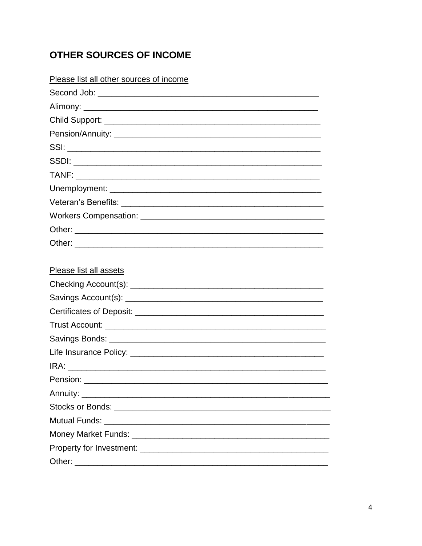### **OTHER SOURCES OF INCOME**

| Please list all other sources of income |  |
|-----------------------------------------|--|
|                                         |  |
|                                         |  |
|                                         |  |
|                                         |  |
|                                         |  |
|                                         |  |
|                                         |  |
|                                         |  |
|                                         |  |
|                                         |  |
|                                         |  |
|                                         |  |
|                                         |  |
| Please list all assets                  |  |
|                                         |  |
|                                         |  |
|                                         |  |
|                                         |  |
|                                         |  |
|                                         |  |
|                                         |  |
| Pension:                                |  |
|                                         |  |
|                                         |  |
| <b>Mutual Funds:</b>                    |  |
|                                         |  |
|                                         |  |
|                                         |  |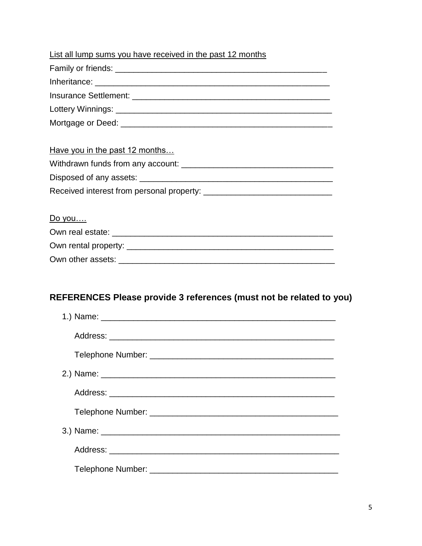| List all lump sums you have received in the past 12 months |
|------------------------------------------------------------|
|                                                            |
|                                                            |
|                                                            |
|                                                            |
|                                                            |
|                                                            |
| Have you in the past 12 months                             |
|                                                            |
|                                                            |
|                                                            |
|                                                            |
| Do you                                                     |
|                                                            |
|                                                            |
|                                                            |

### **REFERENCES Please provide 3 references (must not be related to you)**